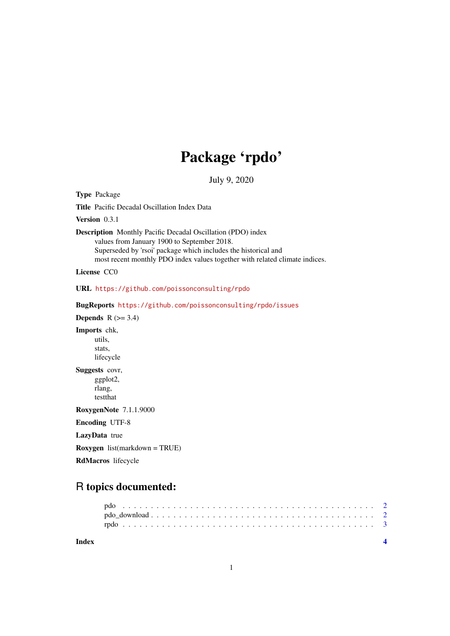# Package 'rpdo'

July 9, 2020

<span id="page-0-0"></span>Type Package Title Pacific Decadal Oscillation Index Data Version 0.3.1 Description Monthly Pacific Decadal Oscillation (PDO) index values from January 1900 to September 2018. Superseded by 'rsoi' package which includes the historical and most recent monthly PDO index values together with related climate indices. License CC0 URL <https://github.com/poissonconsulting/rpdo> BugReports <https://github.com/poissonconsulting/rpdo/issues> **Depends**  $R$  ( $>= 3.4$ ) Imports chk, utils, stats, lifecycle Suggests covr, ggplot2, rlang, testthat RoxygenNote 7.1.1.9000 Encoding UTF-8 LazyData true Roxygen list(markdown = TRUE) RdMacros lifecycle

## R topics documented:

| Index |  |  |  |  |  |  |  |  |  |  |  |  |  |  |  |  |  |  |
|-------|--|--|--|--|--|--|--|--|--|--|--|--|--|--|--|--|--|--|
|       |  |  |  |  |  |  |  |  |  |  |  |  |  |  |  |  |  |  |
|       |  |  |  |  |  |  |  |  |  |  |  |  |  |  |  |  |  |  |

1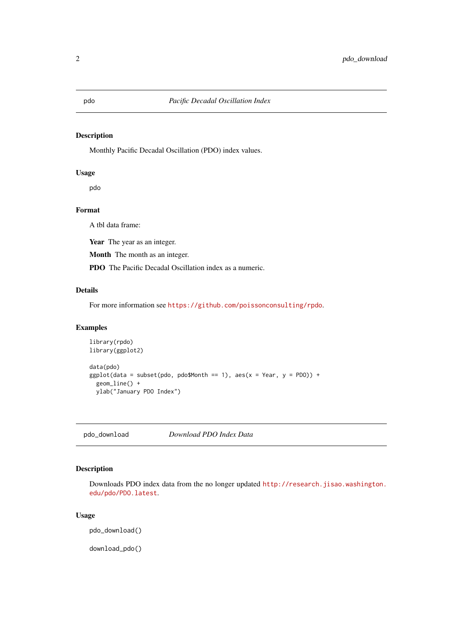#### <span id="page-1-1"></span><span id="page-1-0"></span>Description

Monthly Pacific Decadal Oscillation (PDO) index values.

#### Usage

pdo

#### Format

A tbl data frame:

Year The year as an integer.

Month The month as an integer.

PDO The Pacific Decadal Oscillation index as a numeric.

#### Details

For more information see <https://github.com/poissonconsulting/rpdo>.

#### Examples

```
library(rpdo)
library(ggplot2)
data(pdo)
ggplot(data = subset(pdo, pdo$Month == 1), aes(x = Year, y = PDO)) +geom_line() +
  ylab("January PDO Index")
```
<span id="page-1-2"></span>pdo\_download *Download PDO Index Data*

#### Description

Downloads PDO index data from the no longer updated [http://research.jisao.washington.](http://research.jisao.washington.edu/pdo/PDO.latest) [edu/pdo/PDO.latest](http://research.jisao.washington.edu/pdo/PDO.latest).

#### Usage

pdo\_download()

download\_pdo()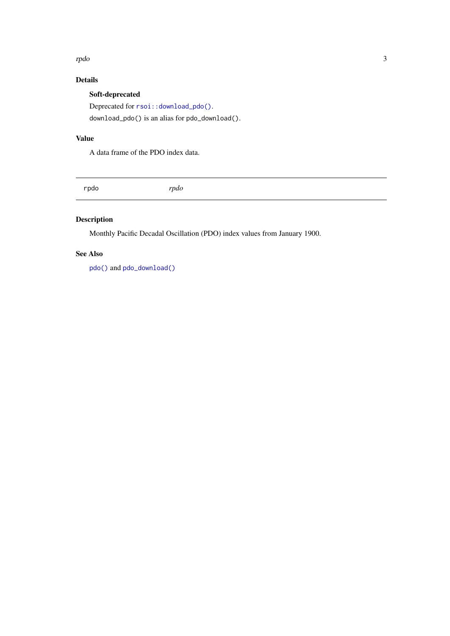#### <span id="page-2-0"></span>rpdo 3000 a.C. et al. (2000) and 2000 a.C. (2000) and 2000 a.C. (2000) and 2000 a.C. (2000) and 2000 a.C. (200

### Details

Soft-deprecated Deprecated for  $rsoi::download\_pdo()$ . download\_pdo() is an alias for pdo\_download().

#### Value

A data frame of the PDO index data.

rpdo *rpdo*

### Description

Monthly Pacific Decadal Oscillation (PDO) index values from January 1900.

#### See Also

[pdo\(\)](#page-1-1) and [pdo\\_download\(\)](#page-1-2)